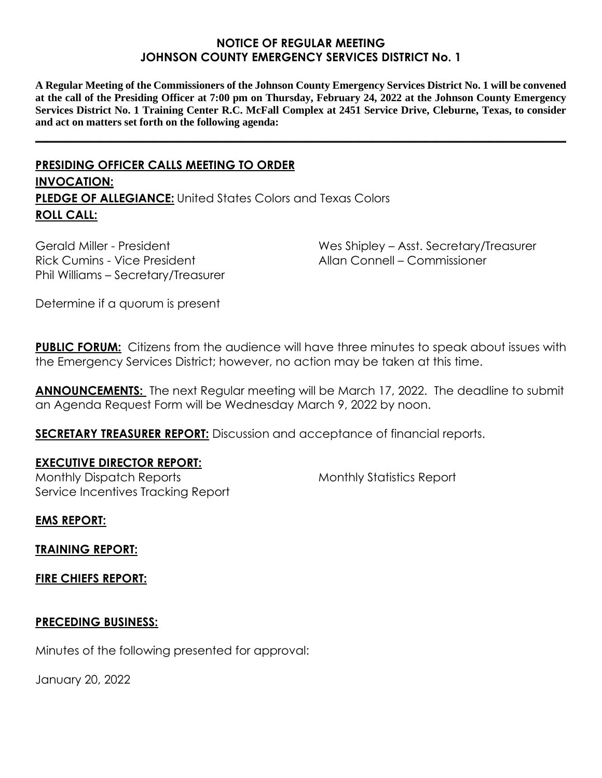### **NOTICE OF REGULAR MEETING JOHNSON COUNTY EMERGENCY SERVICES DISTRICT No. 1**

**A Regular Meeting of the Commissioners of the Johnson County Emergency Services District No. 1 will be convened at the call of the Presiding Officer at 7:00 pm on Thursday, February 24, 2022 at the Johnson County Emergency Services District No. 1 Training Center R.C. McFall Complex at 2451 Service Drive, Cleburne, Texas, to consider and act on matters set forth on the following agenda:**

**\_\_\_\_\_\_\_\_\_\_\_\_\_\_\_\_\_\_\_\_\_\_\_\_\_\_\_\_\_\_\_\_\_\_\_\_\_\_\_\_\_\_\_\_\_\_\_\_\_\_\_\_\_\_\_\_\_\_\_\_\_\_\_\_\_\_\_\_\_\_\_\_\_\_\_\_\_\_\_\_\_\_\_\_\_\_\_\_\_\_**

# **PRESIDING OFFICER CALLS MEETING TO ORDER INVOCATION: PLEDGE OF ALLEGIANCE:** United States Colors and Texas Colors **ROLL CALL:**

Gerald Miller - President Rick Cumins - Vice President Phil Williams – Secretary/Treasurer Wes Shipley – Asst. Secretary/Treasurer Allan Connell – Commissioner

Determine if a quorum is present

**PUBLIC FORUM:** Citizens from the audience will have three minutes to speak about issues with the Emergency Services District; however, no action may be taken at this time.

**ANNOUNCEMENTS:** The next Regular meeting will be March 17, 2022. The deadline to submit an Agenda Request Form will be Wednesday March 9, 2022 by noon.

**SECRETARY TREASURER REPORT:** Discussion and acceptance of financial reports.

## **EXECUTIVE DIRECTOR REPORT:**

Monthly Dispatch Reports Service Incentives Tracking Report Monthly Statistics Report

**EMS REPORT:**

**TRAINING REPORT:**

**FIRE CHIEFS REPORT:**

## **PRECEDING BUSINESS:**

Minutes of the following presented for approval:

January 20, 2022